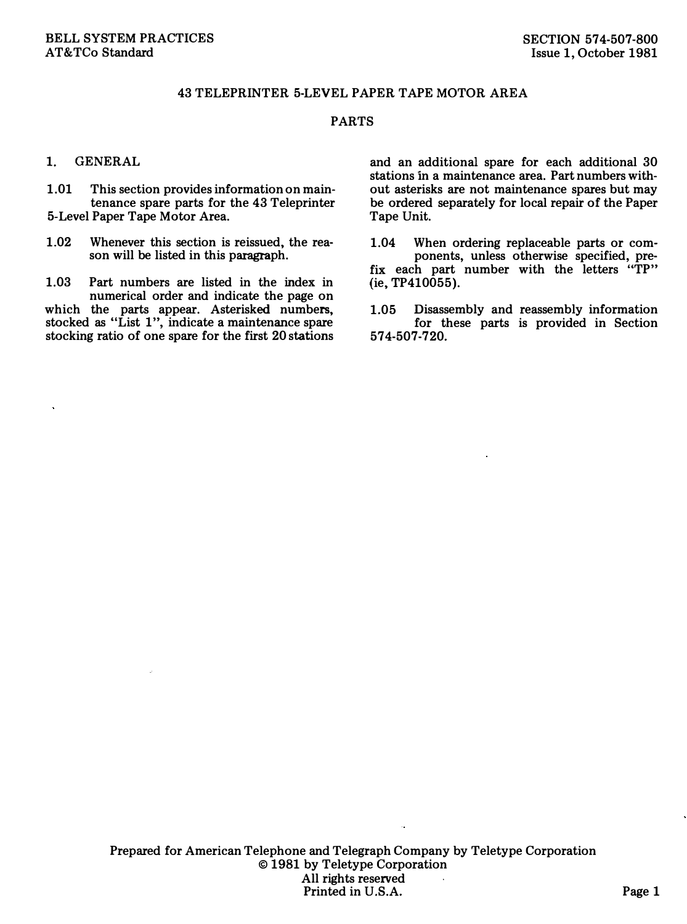## 43 TELEPRINTER 5-LEVEL PAPER TAPE MOTOR AREA

## PARTS

## 1. GENERAL

1.01 This section provides information on maintenance spare parts for the 43 Teleprinter 5-Level Paper Tape Motor Area.

1.02 Whenever this section is reissued, the reason will be listed in this paragraph.

1.03 Part numbers are listed in the index in numerical order and indicate the page on which the parts appear. Asterisked numbers, stocked as "List 1", indicate a maintenance spare stocking ratio of one spare for the first 20 stations and an additional spare for each additional 30 stations in a maintenance area. Part numbers without asterisks are not maintenance spares but may be ordered separately for local repair of the Paper Tape Unit.

1.04 When ordering replaceable parts or components, unless otherwise specified, prefix each part number with the letters "TP"  $(ie, TP410055).$ 

1.05 Disassembly and reassembly information for these parts is provided in Section 574-507-720.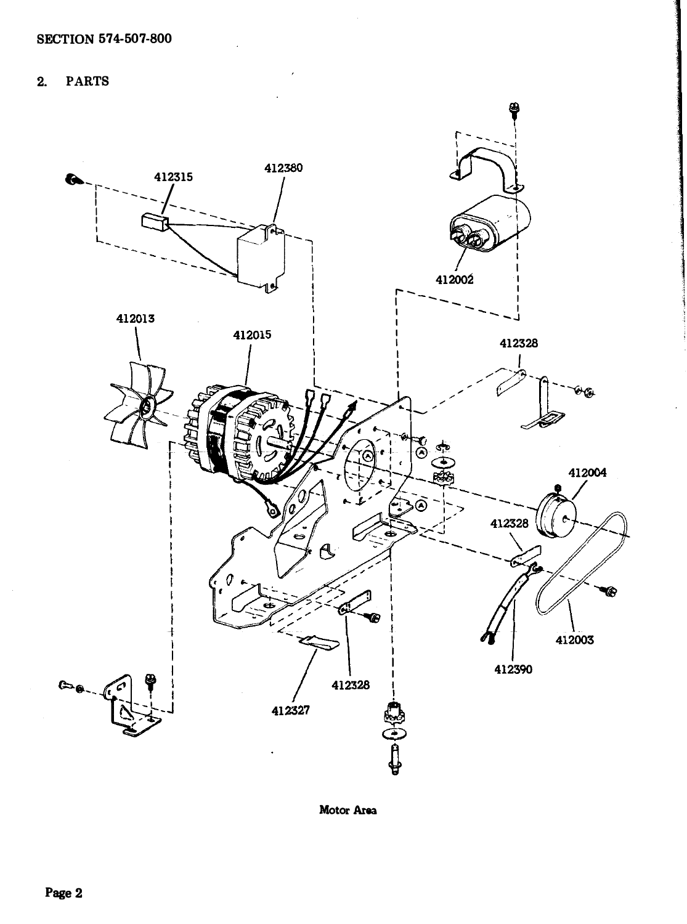**PARTS**  $2.$ 



Motor Area